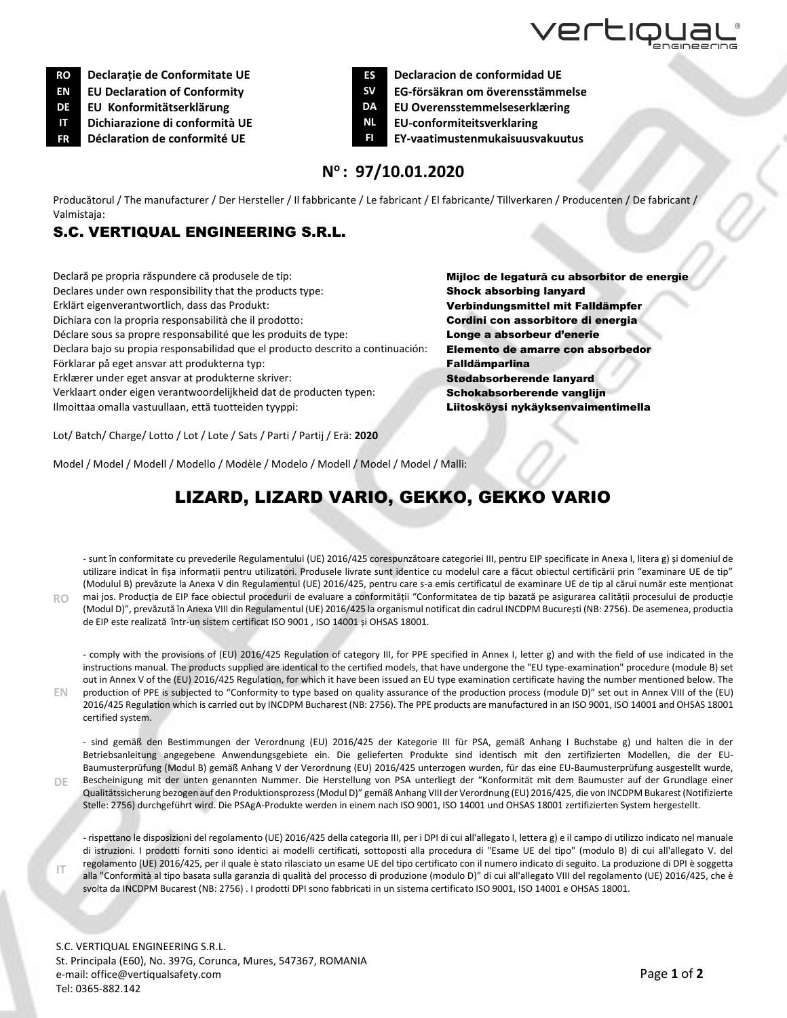

**RO Declarație de Conformitate UE ES Declaracion de conformidad UE**

**IT Dichiarazione di conformità UE NL EU-conformiteitsverklaring**

**EN**

**DE**

**IT**

- 
- **EN EU Declaration of Conformity SV EG-försäkran om överensstämmelse**
- **DE EU Konformitätserklärung DA EU Overensstemmelseserklæring**
	-
- **FR Déclaration de conformité UE FI EY-vaatimustenmukaisuusvakuutus**

## **N <sup>o</sup>: 97/10.01.2020**

Producătorul / The manufacturer / Der Hersteller / Il fabbricante / Le fabricant / El fabricante/ Tillverkaren / Producenten / De fabricant / Valmistaja:

## S.C. VERTIQUAL ENGINEERING S.R.L.

Declară pe propria răspundere că produsele de tip: Mijloc de legatură cu absorbitor de energie Declares under own responsibility that the products type: Shock absorbing lanyard Erklärt eigenverantwortlich, dass das Produkt: Verbindungsmittel mit Falldämpfer Dichiara con la propria responsabilità che il prodotto: Cordini con assorbitore di energia Déclare sous sa propre responsabilité que les produits de type: **Longe a absorbeur d'enerie** Declara bajo su propia responsabilidad que el producto descrito a continuación: Elemento de amarre con absorbedor Förklarar på eget ansvar att produkterna typ: Fallow Falldämparlina Erklærer under eget ansvar at produkterne skriver: Stødabsorberende lanyard Verklaart onder eigen verantwoordelijkheid dat de producten typen: Schokabsorberende vanglijn Ilmoittaa omalla vastuullaan, että tuotteiden tyyppi: Litosköysi nykäyksenvaimentimella

Lot/ Batch/ Charge/ Lotto / Lot / Lote / Sats / Parti / Partij / Erä: **2020**

Model / Model / Modell / Modello / Modèle / Modelo / Modell / Model / Model / Malli:

## LIZARD, LIZARD VARIO, GEKKO, GEKKO VARIO

**RO** - sunt în conformitate cu prevederile Regulamentului (UE) 2016/425 corespunzătoare categoriei III, pentru EIP specificate in Anexa I, litera g) și domeniul de utilizare indicat în fișa informații pentru utilizatori. Produsele livrate sunt identice cu modelul care a făcut obiectul certificării prin "examinare UE de tip" (Modulul B) prevăzute la Anexa V din Regulamentul (UE) 2016/425, pentru care s-a emis certificatul de examinare UE de tip al cărui număr este menționat mai jos. Producția de EIP face obiectul procedurii de evaluare a conformității "Conformitatea de tip bazată pe asigurarea calității procesului de producție (Modul D)", prevăzută în Anexa VIII din Regulamentul (UE) 2016/425 la organismul notificat din cadrul INCDPM București (NB: 2756). De asemenea, productia de EIP este realizată într-un sistem certificat ISO 9001 , ISO 14001 și OHSAS 18001.

- comply with the provisions of (EU) 2016/425 Regulation of category III, for PPE specified in Annex I, letter g) and with the field of use indicated in the instructions manual. The products supplied are identical to the certified models, that have undergone the "EU type-examination" procedure (module B) set out in Annex V of the (EU) 2016/425 Regulation, for which it have been issued an EU type examination certificate having the number mentioned below. The production of PPE is subjected to "Conformity to type based on quality assurance of the production process (module D)" set out in Annex VIII of the (EU) 2016/425 Regulation which is carried out by INCDPM Bucharest (NB: 2756). The PPE products are manufactured in an ISO 9001, ISO 14001 and OHSAS 18001 certified system.

- sind gemäß den Bestimmungen der Verordnung (EU) 2016/425 der Kategorie III für PSA, gemäß Anhang I Buchstabe g) und halten die in der Betriebsanleitung angegebene Anwendungsgebiete ein. Die gelieferten Produkte sind identisch mit den zertifizierten Modellen, die der EU-Baumusterprüfung (Modul B) gemäß Anhang V der Verordnung (EU) 2016/425 unterzogen wurden, für das eine EU-Baumusterprüfung ausgestellt wurde, Bescheinigung mit der unten genannten Nummer. Die Herstellung von PSA unterliegt der "Konformität mit dem Baumuster auf der Grundlage einer Qualitätssicherung bezogen auf den Produktionsprozess (Modul D)" gemäß Anhang VIII der Verordnung (EU) 2016/425, die von INCDPM Bukarest (Notifizierte

Stelle: 2756) durchgeführt wird. Die PSAgA-Produkte werden in einem nach ISO 9001, ISO 14001 und OHSAS 18001 zertifizierten System hergestellt.

- rispettano le disposizioni del regolamento (UE) 2016/425 della categoria III, per i DPI di cui all'allegato I, lettera g) e il campo di utilizzo indicato nel manuale di istruzioni. I prodotti forniti sono identici ai modelli certificati, sottoposti alla procedura di "Esame UE del tipo" (modulo B) di cui all'allegato V. del regolamento (UE) 2016/425, per il quale è stato rilasciato un esame UE del tipo certificato con il numero indicato di seguito. La produzione di DPI è soggetta alla "Conformità al tipo basata sulla garanzia di qualità del processo di produzione (modulo D)" di cui all'allegato VIII del regolamento (UE) 2016/425, che è svolta da INCDPM Bucarest (NB: 2756) . I prodotti DPI sono fabbricati in un sistema certificato ISO 9001, ISO 14001 e OHSAS 18001.

S.C. VERTIQUAL ENGINEERING S.R.L. St. Principala (E60), No. 397G, Corunca, Mures, 547367, ROMANIA e-mail: [office@vertiqualsafety.com](mailto:office@vertiqualsafety.com) Tel: 0365-882.142